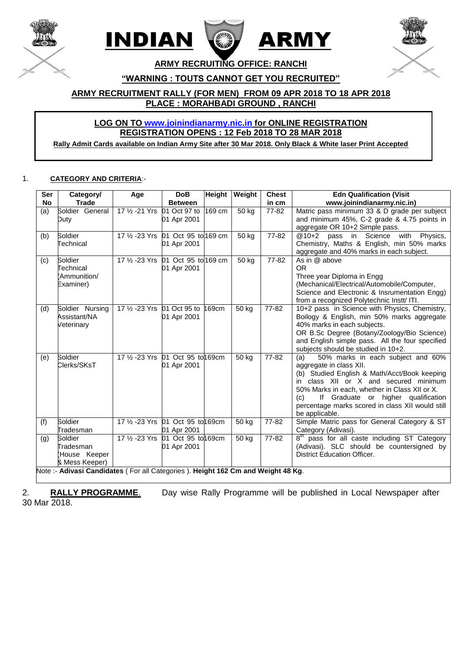





**ARMY RECRUITING OFFICE: RANCHI**

**"WARNING : TOUTS CANNOT GET YOU RECRUITED"**

**ARMY RECRUITMENT RALLY (FOR MEN) FROM 09 APR 2018 TO 18 APR 2018 PLACE : MORAHBADI GROUND , RANCHI** 

# **LOG ON TO [www.joinindianarmy.nic.in](http://www.joinindianarmy.nic.in/) for ONLINE REGISTRATION REGISTRATION OPENS : 12 Feb 2018 TO 28 MAR 2018**

**Rally Admit Cards available on Indian Army Site after 30 Mar 2018. Only Black & White laser Print Accepted**

#### 1. **CATEGORY AND CRITERIA**:-

| Ser       | Category/                                                                       | Age                                 | <b>DoB</b>         |                     | Height Weight | <b>Chest</b> | <b>Edn Qualification (Visit</b> )                                  |  |
|-----------|---------------------------------------------------------------------------------|-------------------------------------|--------------------|---------------------|---------------|--------------|--------------------------------------------------------------------|--|
| <b>No</b> | <b>Trade</b>                                                                    |                                     | <b>Between</b>     |                     |               | in cm        | www.joinindianarmy.nic.in)                                         |  |
| (a)       | Soldier General                                                                 | 17 1/2 - 21 Yrs 01 Oct 97 to        |                    | $\overline{169}$ cm | 50 kg         | $77 - 82$    | Matric pass minimum 33 & D grade per subject                       |  |
|           | Duty                                                                            |                                     | 01 Apr 2001        |                     |               |              | and minimum 45%, C-2 grade & 4.75 points in                        |  |
|           |                                                                                 |                                     |                    |                     |               |              | aggregate OR 10+2 Simple pass.                                     |  |
| (b)       | Soldier                                                                         | 17 1/2 - 23 Yrs 01 Oct 95 to 169 cm |                    |                     | 50 kg         | 77-82        | $@10+2$<br>pass in Science<br>with<br>Physics,                     |  |
|           | Technical                                                                       |                                     | 01 Apr 2001        |                     |               |              | Chemistry, Maths & English, min 50% marks                          |  |
|           |                                                                                 |                                     |                    |                     |               |              | aggregate and 40% marks in each subject.                           |  |
| (c)       | Soldier                                                                         | 17 1/2 - 23 Yrs 01 Oct 95 to 169 cm |                    |                     | 50 kg         | 77-82        | As in @ above                                                      |  |
|           | Technical                                                                       |                                     | 01 Apr 2001        |                     |               |              | OR.                                                                |  |
|           | Ammunition/                                                                     |                                     |                    |                     |               |              | Three year Diploma in Engg                                         |  |
|           | Examiner)                                                                       |                                     |                    |                     |               |              | (Mechanical/Electrical/Automobile/Computer,                        |  |
|           |                                                                                 |                                     |                    |                     |               |              | Science and Electronic & Insrumentation Engg)                      |  |
|           |                                                                                 |                                     |                    |                     |               |              | from a recognized Polytechnic Instt/ ITI.                          |  |
| (d)       | Soldier Nursing                                                                 | 17 1/2 - 23 Yrs 01 Oct 95 to        |                    | 169cm               | 50 kg         | 77-82        | 10+2 pass in Science with Physics, Chemistry,                      |  |
|           | Assistant/NA                                                                    |                                     | 01 Apr 2001        |                     |               |              | Boilogy & English, min 50% marks aggregate                         |  |
|           | Veterinary                                                                      |                                     |                    |                     |               |              | 40% marks in each subjects.                                        |  |
|           |                                                                                 |                                     |                    |                     |               |              | OR B.Sc Degree (Botany/Zoology/Bio Science)                        |  |
|           |                                                                                 |                                     |                    |                     |               |              | and English simple pass. All the four specified                    |  |
|           |                                                                                 |                                     |                    |                     |               |              | subjects should be studied in 10+2.                                |  |
| (e)       | Soldier                                                                         | 17 1/2 - 23 Yrs 01 Oct 95 to 169cm  |                    |                     | 50 kg         | $77 - 82$    | (a)<br>50% marks in each subject and 60%                           |  |
|           | Clerks/SKsT                                                                     |                                     | 01 Apr 2001        |                     |               |              | aggregate in class XII.                                            |  |
|           |                                                                                 |                                     |                    |                     |               |              | (b) Studied English & Math/Acct/Book keeping                       |  |
|           |                                                                                 |                                     |                    |                     |               |              | class XII or X and secured minimum<br>in                           |  |
|           |                                                                                 |                                     |                    |                     |               |              | 50% Marks in each, whether in Class XII or X.                      |  |
|           |                                                                                 |                                     |                    |                     |               |              | If Graduate or higher qualification<br>(c)                         |  |
|           |                                                                                 |                                     |                    |                     |               |              | percentage marks scored in class XII would still<br>be applicable. |  |
| (f)       | Soldier                                                                         | 17 1/2 - 23 Yrs 01 Oct 95 to 169cm  |                    |                     | 50 kg         | 77-82        | Simple Matric pass for General Category & ST                       |  |
|           | Tradesman                                                                       |                                     | 01 Apr 2001        |                     |               |              | Category (Adivasi).                                                |  |
| (g)       | Soldier                                                                         | 17 % -23 Yrs                        | 01 Oct 95 to 169cm |                     | 50 kg         | 77-82        | 8 <sup>th</sup> pass for all caste including ST Category           |  |
|           | Tradesman                                                                       |                                     | 01 Apr 2001        |                     |               |              | (Adivasi). SLC should be countersigned by                          |  |
|           | (House Keeper                                                                   |                                     |                    |                     |               |              | <b>District Education Officer.</b>                                 |  |
|           | & Mess Keeper)                                                                  |                                     |                    |                     |               |              |                                                                    |  |
|           | Note:- Adivasi Candidates (For all Categories). Height 162 Cm and Weight 48 Kg. |                                     |                    |                     |               |              |                                                                    |  |

2. **RALLY PROGRAMME**. Day wise Rally Programme will be published in Local Newspaper after 30 Mar 2018.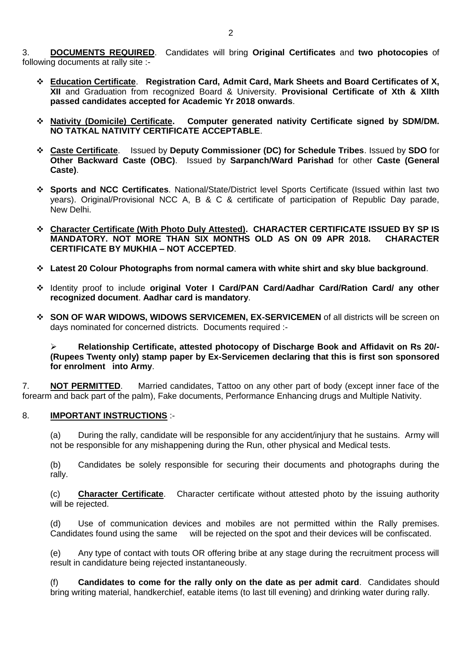3. **DOCUMENTS REQUIRED**. Candidates will bring **Original Certificates** and **two photocopies** of following documents at rally site :-

- **Education Certificate**. **Registration Card, Admit Card, Mark Sheets and Board Certificates of X, XII** and Graduation from recognized Board & University. **Provisional Certificate of Xth & XIIth passed candidates accepted for Academic Yr 2018 onwards**.
- **Nativity (Domicile) Certificate. Computer generated nativity Certificate signed by SDM/DM. NO TATKAL NATIVITY CERTIFICATE ACCEPTABLE**.
- **Caste Certificate**. Issued by **Deputy Commissioner (DC) for Schedule Tribes**. Issued by **SDO** for **Other Backward Caste (OBC)**. Issued by **Sarpanch/Ward Parishad** for other **Caste (General Caste)**.
- **Sports and NCC Certificates**. National/State/District level Sports Certificate (Issued within last two years). Original/Provisional NCC A, B & C & certificate of participation of Republic Day parade, New Delhi.
- **Character Certificate (With Photo Duly Attested). CHARACTER CERTIFICATE ISSUED BY SP IS MANDATORY. NOT MORE THAN SIX MONTHS OLD AS ON 09 APR 2018. CHARACTER CERTIFICATE BY MUKHIA – NOT ACCEPTED**.
- **Latest 20 Colour Photographs from normal camera with white shirt and sky blue background**.
- Identity proof to include **original Voter I Card/PAN Card/Aadhar Card/Ration Card/ any other recognized document**. **Aadhar card is mandatory**.
- **SON OF WAR WIDOWS, WIDOWS SERVICEMEN, EX-SERVICEMEN** of all districts will be screen on days nominated for concerned districts. Documents required :-

 **Relationship Certificate, attested photocopy of Discharge Book and Affidavit on Rs 20/- (Rupees Twenty only) stamp paper by Ex-Servicemen declaring that this is first son sponsored for enrolment into Army**.

7. **NOT PERMITTED**. Married candidates, Tattoo on any other part of body (except inner face of the forearm and back part of the palm), Fake documents, Performance Enhancing drugs and Multiple Nativity.

### 8. **IMPORTANT INSTRUCTIONS** :-

(a) During the rally, candidate will be responsible for any accident/injury that he sustains. Army will not be responsible for any mishappening during the Run, other physical and Medical tests.

(b) Candidates be solely responsible for securing their documents and photographs during the rally.

(c) **Character Certificate**. Character certificate without attested photo by the issuing authority will be rejected.

(d) Use of communication devices and mobiles are not permitted within the Rally premises. Candidates found using the same will be rejected on the spot and their devices will be confiscated.

(e) Any type of contact with touts OR offering bribe at any stage during the recruitment process will result in candidature being rejected instantaneously.

(f) **Candidates to come for the rally only on the date as per admit card**. Candidates should bring writing material, handkerchief, eatable items (to last till evening) and drinking water during rally.